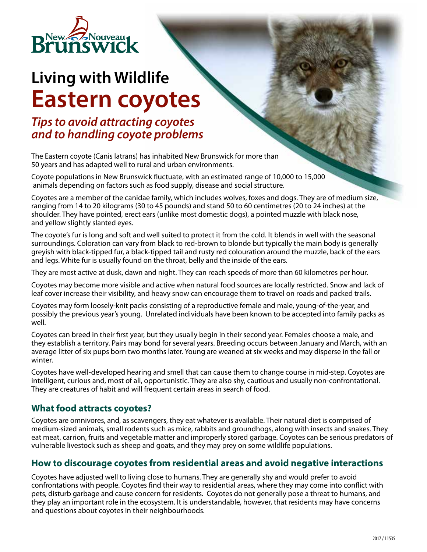

# **Living with Wildlife Eastern coyotes**

## *Tips to avoid attracting coyotes and to handling coyote problems*

The Eastern coyote (Canis latrans) has inhabited New Brunswick for more than 50 years and has adapted well to rural and urban environments.

Coyote populations in New Brunswick fluctuate, with an estimated range of 10,000 to 15,000 animals depending on factors such as food supply, disease and social structure.

Coyotes are a member of the canidae family, which includes wolves, foxes and dogs. They are of medium size, ranging from 14 to 20 kilograms (30 to 45 pounds) and stand 50 to 60 centimetres (20 to 24 inches) at the shoulder. They have pointed, erect ears (unlike most domestic dogs), a pointed muzzle with black nose, and yellow slightly slanted eyes.

The coyote's fur is long and soft and well suited to protect it from the cold. It blends in well with the seasonal surroundings. Coloration can vary from black to red-brown to blonde but typically the main body is generally greyish with black-tipped fur, a black-tipped tail and rusty red colouration around the muzzle, back of the ears and legs. White fur is usually found on the throat, belly and the inside of the ears.

They are most active at dusk, dawn and night. They can reach speeds of more than 60 kilometres per hour.

Coyotes may become more visible and active when natural food sources are locally restricted. Snow and lack of leaf cover increase their visibility, and heavy snow can encourage them to travel on roads and packed trails.

Coyotes may form loosely-knit packs consisting of a reproductive female and male, young-of-the-year, and possibly the previous year's young. Unrelated individuals have been known to be accepted into family packs as well.

Coyotes can breed in their first year, but they usually begin in their second year. Females choose a male, and they establish a territory. Pairs may bond for several years. Breeding occurs between January and March, with an average litter of six pups born two months later. Young are weaned at six weeks and may disperse in the fall or winter.

Coyotes have well-developed hearing and smell that can cause them to change course in mid-step. Coyotes are intelligent, curious and, most of all, opportunistic. They are also shy, cautious and usually non-confrontational. They are creatures of habit and will frequent certain areas in search of food.

## **What food attracts coyotes?**

Coyotes are omnivores, and, as scavengers, they eat whatever is available. Their natural diet is comprised of medium-sized animals, small rodents such as mice, rabbits and groundhogs, along with insects and snakes. They eat meat, carrion, fruits and vegetable matter and improperly stored garbage. Coyotes can be serious predators of vulnerable livestock such as sheep and goats, and they may prey on some wildlife populations.

## **How to discourage coyotes from residential areas and avoid negative interactions**

Coyotes have adjusted well to living close to humans. They are generally shy and would prefer to avoid confrontations with people. Coyotes find their way to residential areas, where they may come into conflict with pets, disturb garbage and cause concern for residents. Coyotes do not generally pose a threat to humans, and they play an important role in the ecosystem. It is understandable, however, that residents may have concerns and questions about coyotes in their neighbourhoods.